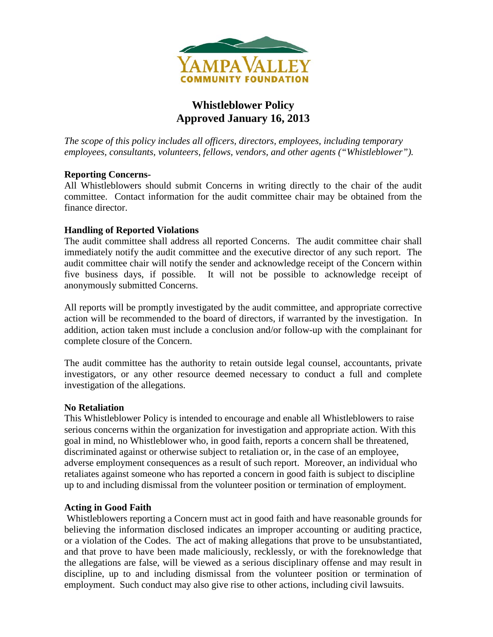

# **Whistleblower Policy Approved January 16, 2013**

*The scope of this policy includes all officers, directors, employees, including temporary employees, consultants, volunteers, fellows, vendors, and other agents ("Whistleblower").*

## **Reporting Concerns-**

All Whistleblowers should submit Concerns in writing directly to the chair of the audit committee. Contact information for the audit committee chair may be obtained from the finance director.

## **Handling of Reported Violations**

The audit committee shall address all reported Concerns. The audit committee chair shall immediately notify the audit committee and the executive director of any such report. The audit committee chair will notify the sender and acknowledge receipt of the Concern within five business days, if possible. It will not be possible to acknowledge receipt of anonymously submitted Concerns.

All reports will be promptly investigated by the audit committee, and appropriate corrective action will be recommended to the board of directors, if warranted by the investigation. In addition, action taken must include a conclusion and/or follow-up with the complainant for complete closure of the Concern.

The audit committee has the authority to retain outside legal counsel, accountants, private investigators, or any other resource deemed necessary to conduct a full and complete investigation of the allegations.

#### **No Retaliation**

This Whistleblower Policy is intended to encourage and enable all Whistleblowers to raise serious concerns within the organization for investigation and appropriate action. With this goal in mind, no Whistleblower who, in good faith, reports a concern shall be threatened, discriminated against or otherwise subject to retaliation or, in the case of an employee, adverse employment consequences as a result of such report. Moreover, an individual who retaliates against someone who has reported a concern in good faith is subject to discipline up to and including dismissal from the volunteer position or termination of employment.

#### **Acting in Good Faith**

Whistleblowers reporting a Concern must act in good faith and have reasonable grounds for believing the information disclosed indicates an improper accounting or auditing practice, or a violation of the Codes. The act of making allegations that prove to be unsubstantiated, and that prove to have been made maliciously, recklessly, or with the foreknowledge that the allegations are false, will be viewed as a serious disciplinary offense and may result in discipline, up to and including dismissal from the volunteer position or termination of employment. Such conduct may also give rise to other actions, including civil lawsuits.